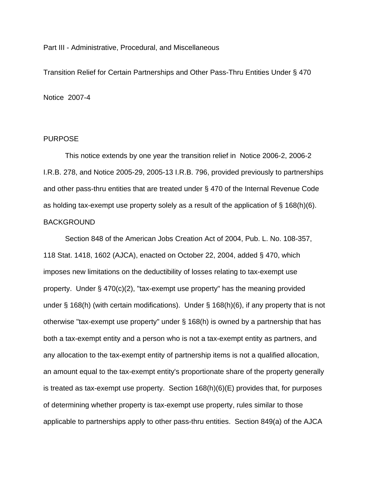Part III - Administrative, Procedural, and Miscellaneous

Transition Relief for Certain Partnerships and Other Pass-Thru Entities Under § 470 Notice 2007-4

## PURPOSE

This notice extends by one year the transition relief in Notice 2006-2, 2006-2 I.R.B. 278, and Notice 2005-29, 2005-13 I.R.B. 796, provided previously to partnerships and other pass-thru entities that are treated under § 470 of the Internal Revenue Code as holding tax-exempt use property solely as a result of the application of § 168(h)(6). BACKGROUND

Section 848 of the American Jobs Creation Act of 2004, Pub. L. No. 108-357, 118 Stat. 1418, 1602 (AJCA), enacted on October 22, 2004, added § 470, which imposes new limitations on the deductibility of losses relating to tax-exempt use property. Under § 470(c)(2), "tax-exempt use property" has the meaning provided under § 168(h) (with certain modifications). Under § 168(h)(6), if any property that is not otherwise "tax-exempt use property" under § 168(h) is owned by a partnership that has both a tax-exempt entity and a person who is not a tax-exempt entity as partners, and any allocation to the tax-exempt entity of partnership items is not a qualified allocation, an amount equal to the tax-exempt entity's proportionate share of the property generally is treated as tax-exempt use property. Section 168(h)(6)(E) provides that, for purposes of determining whether property is tax-exempt use property, rules similar to those applicable to partnerships apply to other pass-thru entities. Section 849(a) of the AJCA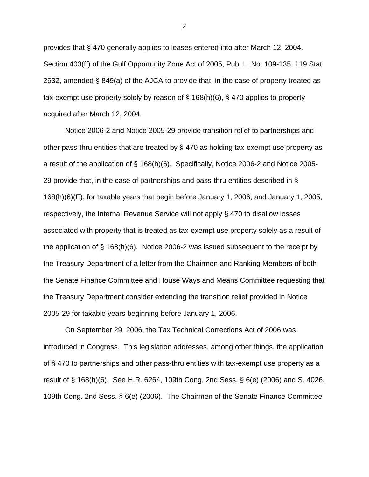provides that § 470 generally applies to leases entered into after March 12, 2004. Section 403(ff) of the Gulf Opportunity Zone Act of 2005, Pub. L. No. 109-135, 119 Stat. 2632, amended § 849(a) of the AJCA to provide that, in the case of property treated as tax-exempt use property solely by reason of § 168(h)(6), § 470 applies to property acquired after March 12, 2004.

Notice 2006-2 and Notice 2005-29 provide transition relief to partnerships and other pass-thru entities that are treated by § 470 as holding tax-exempt use property as a result of the application of § 168(h)(6). Specifically, Notice 2006-2 and Notice 2005- 29 provide that, in the case of partnerships and pass-thru entities described in § 168(h)(6)(E), for taxable years that begin before January 1, 2006, and January 1, 2005, respectively, the Internal Revenue Service will not apply § 470 to disallow losses associated with property that is treated as tax-exempt use property solely as a result of the application of § 168(h)(6). Notice 2006-2 was issued subsequent to the receipt by the Treasury Department of a letter from the Chairmen and Ranking Members of both the Senate Finance Committee and House Ways and Means Committee requesting that the Treasury Department consider extending the transition relief provided in Notice 2005-29 for taxable years beginning before January 1, 2006.

On September 29, 2006, the Tax Technical Corrections Act of 2006 was introduced in Congress. This legislation addresses, among other things, the application of § 470 to partnerships and other pass-thru entities with tax-exempt use property as a result of § 168(h)(6). See H.R. 6264, 109th Cong. 2nd Sess. § 6(e) (2006) and S. 4026, 109th Cong. 2nd Sess. § 6(e) (2006). The Chairmen of the Senate Finance Committee

2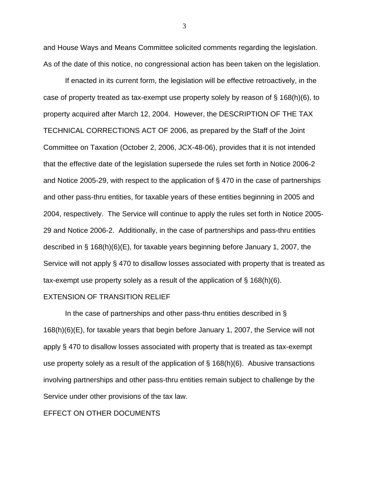and House Ways and Means Committee solicited comments regarding the legislation. As of the date of this notice, no congressional action has been taken on the legislation.

If enacted in its current form, the legislation will be effective retroactively, in the case of property treated as tax-exempt use property solely by reason of § 168(h)(6), to property acquired after March 12, 2004. However, the DESCRIPTION OF THE TAX TECHNICAL CORRECTIONS ACT OF 2006, as prepared by the Staff of the Joint Committee on Taxation (October 2, 2006, JCX-48-06), provides that it is not intended that the effective date of the legislation supersede the rules set forth in Notice 2006-2 and Notice 2005-29, with respect to the application of § 470 in the case of partnerships and other pass-thru entities, for taxable years of these entities beginning in 2005 and 2004, respectively. The Service will continue to apply the rules set forth in Notice 2005- 29 and Notice 2006-2. Additionally, in the case of partnerships and pass-thru entities described in § 168(h)(6)(E), for taxable years beginning before January 1, 2007, the Service will not apply § 470 to disallow losses associated with property that is treated as tax-exempt use property solely as a result of the application of § 168(h)(6).

## EXTENSION OF TRANSITION RELIEF

In the case of partnerships and other pass-thru entities described in § 168(h)(6)(E), for taxable years that begin before January 1, 2007, the Service will not apply § 470 to disallow losses associated with property that is treated as tax-exempt use property solely as a result of the application of § 168(h)(6). Abusive transactions involving partnerships and other pass-thru entities remain subject to challenge by the Service under other provisions of the tax law.

## EFFECT ON OTHER DOCUMENTS

3